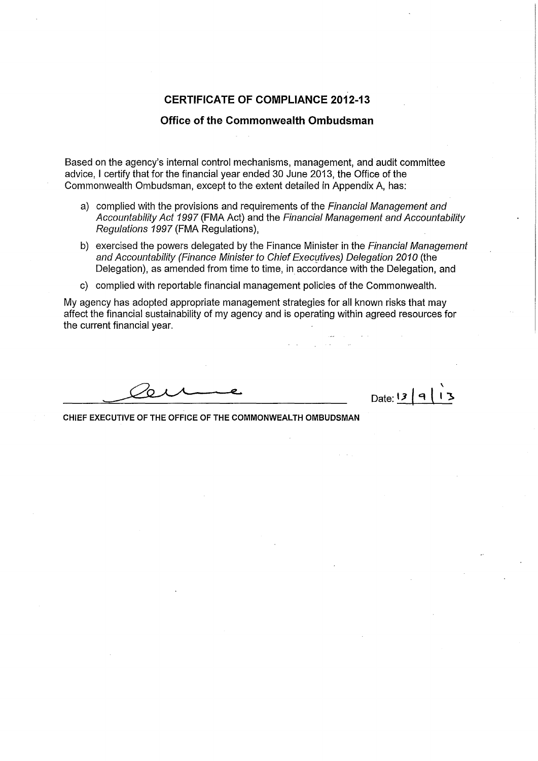### **CERTIFICATE OF COMPLIANCE 2012-13**

#### **Office of the Commonwealth Ombudsman**

Based on the agency's internal control mechanisms, management, and audit committee advice, I certify that for the financial year ended 30 June 2013, the Office of the Commonwealth Ombudsman, except to the extent detailed in Appendix A, has:

- a) complied with the provisions and requirements of the *Financial Management and Accountability Act 1997* (FMA Act) and the *Financial Management and Accountability Regulations 1997* (FMA Regulations),
- b) exercised the powers delegated by the Finance Minister in the *Financial Management*  and Accountability (Finance Minister to Chief Executives) Delegation 2010 (the Delegation), as amended from time to time, in accordance with the Delegation, and
- c) complied with reportable financial management policies of the Commonwealth.

My agency has adopted appropriate management strategies for all known risks that may affect the financial sustainability of my agency and is operating within agreed resources for the current financial year.

\ Date: **13** | 9 |

CHIEF EXECUTIVE OF THE OFFICE OF THE COMMONWEALTH OMBUDSMAN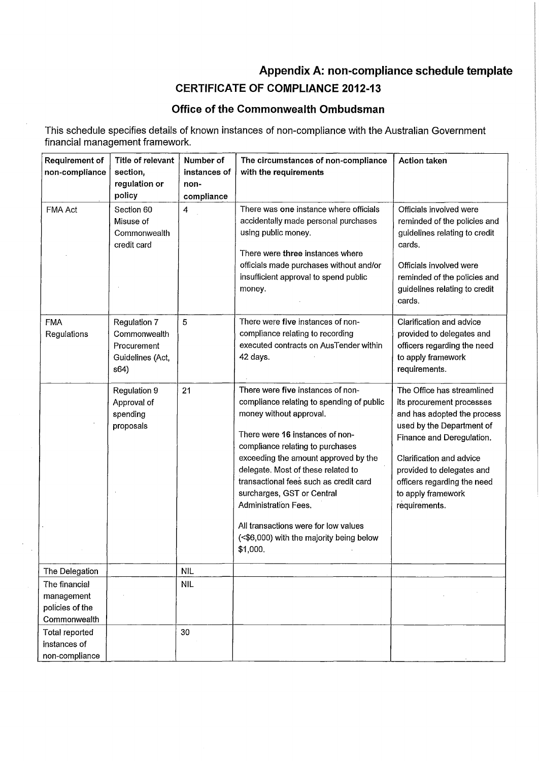# **Appendix A: non-compliance schedule template**

## **CERTIFICATE OF COMPLIANCE 2012-13**

### **Office of the Commonwealth Ombudsman**

This schedule specifies details of known instances of non-compliance with the Australian Government financial management framework.

| Requirement of<br>non-compliance                               | Title of relevant<br>section,<br>regulation or<br>policy                | Number of<br>instances of<br>non-<br>compliance | The circumstances of non-compliance<br>with the requirements                                                                                                                                                                                                                                                                                                                                                                                                          | <b>Action taken</b>                                                                                                                                                                                                                                                             |
|----------------------------------------------------------------|-------------------------------------------------------------------------|-------------------------------------------------|-----------------------------------------------------------------------------------------------------------------------------------------------------------------------------------------------------------------------------------------------------------------------------------------------------------------------------------------------------------------------------------------------------------------------------------------------------------------------|---------------------------------------------------------------------------------------------------------------------------------------------------------------------------------------------------------------------------------------------------------------------------------|
| FMA Act                                                        | Section 60<br>Misuse of<br>Commonwealth<br>credit card                  | 4                                               | There was one instance where officials<br>accidentally made personal purchases<br>using public money.<br>There were three instances where<br>officials made purchases without and/or<br>insufficient approval to spend public<br>money.                                                                                                                                                                                                                               | Officials involved were<br>reminded of the policies and<br>guidelines relating to credit<br>cards.<br>Officials involved were<br>reminded of the policies and<br>guidelines relating to credit<br>cards.                                                                        |
| <b>FMA</b><br>Regulations                                      | Regulation 7<br>Commonwealth<br>Procurement<br>Guidelines (Act,<br>s64) | 5                                               | There were five instances of non-<br>compliance relating to recording<br>executed contracts on AusTender within<br>42 days.                                                                                                                                                                                                                                                                                                                                           | Clarification and advice<br>provided to delegates and<br>officers regarding the need<br>to apply framework<br>requirements.                                                                                                                                                     |
|                                                                | Regulation 9<br>Approval of<br>spending<br>proposals                    | 21                                              | There were five instances of non-<br>compliance relating to spending of public<br>money without approval.<br>There were 16 instances of non-<br>compliance relating to purchases<br>exceeding the amount approved by the<br>delegate. Most of these related to<br>transactional fees such as credit card<br>surcharges, GST or Central<br><b>Administration Fees.</b><br>All transactions were for low values<br>(<\$6,000) with the majority being below<br>\$1,000. | The Office has streamlined<br>its procurement processes<br>and has adopted the process<br>used by the Department of<br>Finance and Deregulation.<br>Clarification and advice<br>provided to delegates and<br>officers regarding the need<br>to apply framework<br>requirements. |
| The Delegation                                                 |                                                                         | <b>NIL</b>                                      |                                                                                                                                                                                                                                                                                                                                                                                                                                                                       |                                                                                                                                                                                                                                                                                 |
| The financial<br>management<br>policies of the<br>Commonwealth |                                                                         | <b>NIL</b>                                      |                                                                                                                                                                                                                                                                                                                                                                                                                                                                       |                                                                                                                                                                                                                                                                                 |
| <b>Total reported</b><br>instances of<br>non-compliance        |                                                                         | 30                                              |                                                                                                                                                                                                                                                                                                                                                                                                                                                                       |                                                                                                                                                                                                                                                                                 |